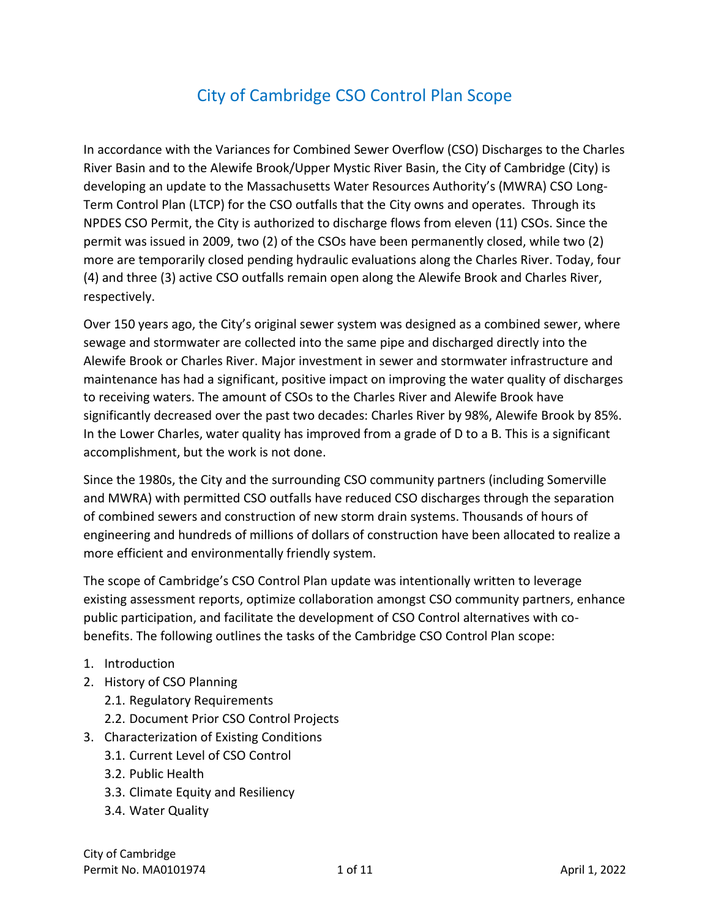In accordance with the Variances for Combined Sewer Overflow (CSO) Discharges to the Charles River Basin and to the Alewife Brook/Upper Mystic River Basin, the City of Cambridge (City) is developing an update to the Massachusetts Water Resources Authority's (MWRA) CSO Long-Term Control Plan (LTCP) for the CSO outfalls that the City owns and operates. Through its NPDES CSO Permit, the City is authorized to discharge flows from eleven (11) CSOs. Since the permit was issued in 2009, two (2) of the CSOs have been permanently closed, while two (2) more are temporarily closed pending hydraulic evaluations along the Charles River. Today, four (4) and three (3) active CSO outfalls remain open along the Alewife Brook and Charles River, respectively.

Over 150 years ago, the City's original sewer system was designed as a combined sewer, where sewage and stormwater are collected into the same pipe and discharged directly into the Alewife Brook or Charles River. Major investment in sewer and stormwater infrastructure and maintenance has had a significant, positive impact on improving the water quality of discharges to receiving waters. The amount of CSOs to the Charles River and Alewife Brook have significantly decreased over the past two decades: Charles River by 98%, Alewife Brook by 85%. In the Lower Charles, water quality has improved from a grade of D to a B. This is a significant accomplishment, but the work is not done.

Since the 1980s, the City and the surrounding CSO community partners (including Somerville and MWRA) with permitted CSO outfalls have reduced CSO discharges through the separation of combined sewers and construction of new storm drain systems. Thousands of hours of engineering and hundreds of millions of dollars of construction have been allocated to realize a more efficient and environmentally friendly system.

The scope of Cambridge's CSO Control Plan update was intentionally written to leverage existing assessment reports, optimize collaboration amongst CSO community partners, enhance public participation, and facilitate the development of CSO Control alternatives with cobenefits. The following outlines the tasks of the Cambridge CSO Control Plan scope:

- 1. Introduction
- 2. History of CSO Planning
	- 2.1. Regulatory Requirements
	- 2.2. Document Prior CSO Control Projects
- 3. Characterization of Existing Conditions
	- 3.1. Current Level of CSO Control
	- 3.2. Public Health
	- 3.3. Climate Equity and Resiliency
	- 3.4. Water Quality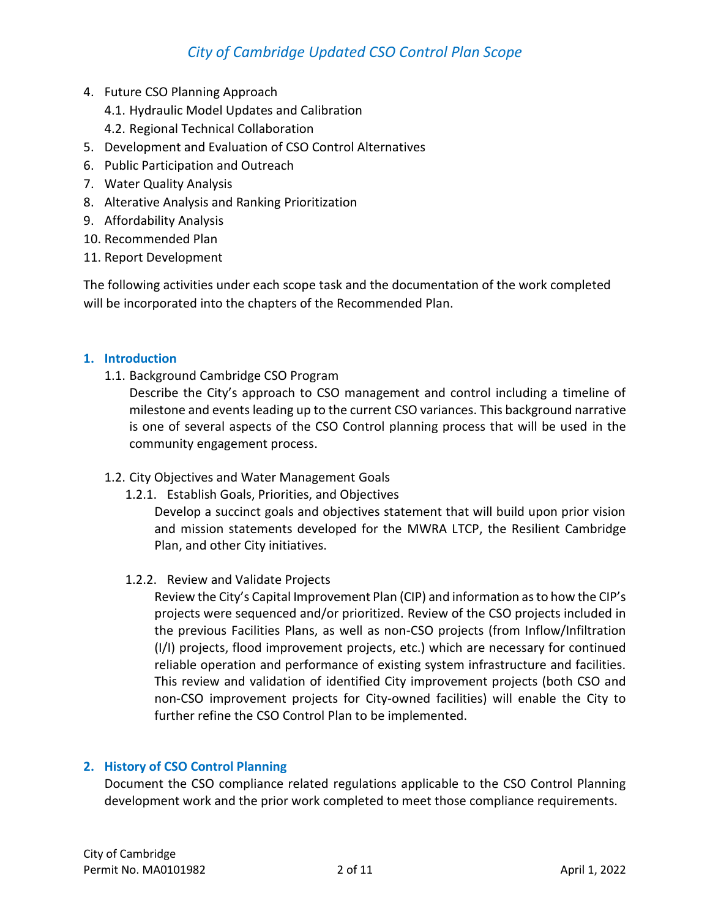- 4. Future CSO Planning Approach
	- 4.1. Hydraulic Model Updates and Calibration
	- 4.2. Regional Technical Collaboration
- 5. Development and Evaluation of CSO Control Alternatives
- 6. Public Participation and Outreach
- 7. Water Quality Analysis
- 8. Alterative Analysis and Ranking Prioritization
- 9. Affordability Analysis
- 10. Recommended Plan
- 11. Report Development

The following activities under each scope task and the documentation of the work completed will be incorporated into the chapters of the Recommended Plan.

### **1. Introduction**

1.1. Background Cambridge CSO Program

Describe the City's approach to CSO management and control including a timeline of milestone and events leading up to the current CSO variances. This background narrative is one of several aspects of the CSO Control planning process that will be used in the community engagement process.

### 1.2. City Objectives and Water Management Goals

1.2.1. Establish Goals, Priorities, and Objectives

Develop a succinct goals and objectives statement that will build upon prior vision and mission statements developed for the MWRA LTCP, the Resilient Cambridge Plan, and other City initiatives.

1.2.2. Review and Validate Projects

Review the City's Capital Improvement Plan (CIP) and information as to how the CIP's projects were sequenced and/or prioritized. Review of the CSO projects included in the previous Facilities Plans, as well as non-CSO projects (from Inflow/Infiltration (I/I) projects, flood improvement projects, etc.) which are necessary for continued reliable operation and performance of existing system infrastructure and facilities. This review and validation of identified City improvement projects (both CSO and non-CSO improvement projects for City-owned facilities) will enable the City to further refine the CSO Control Plan to be implemented.

### **2. History of CSO Control Planning**

Document the CSO compliance related regulations applicable to the CSO Control Planning development work and the prior work completed to meet those compliance requirements.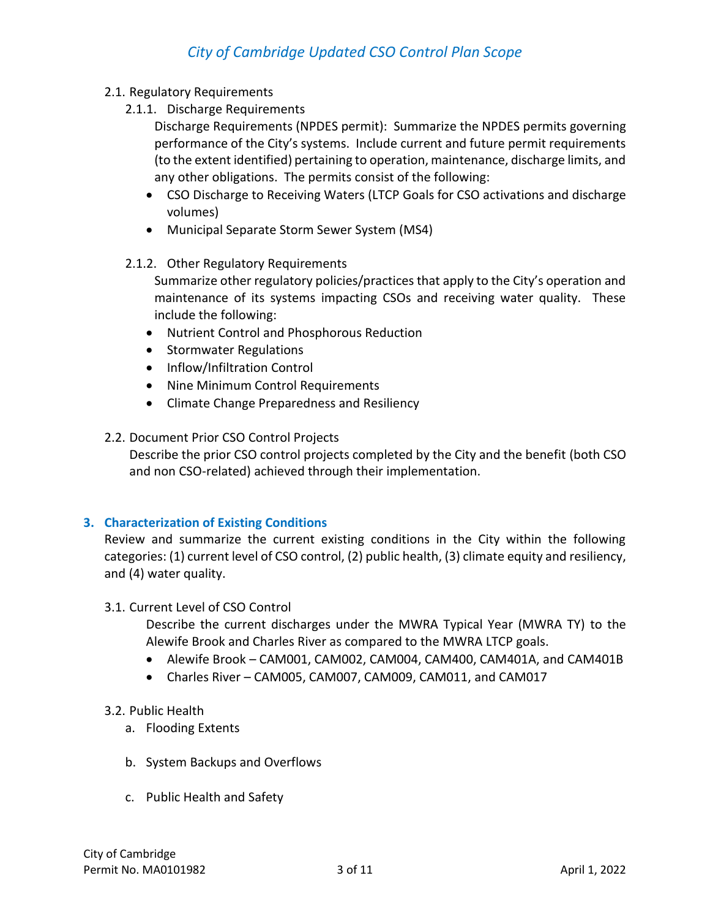- 2.1. Regulatory Requirements
	- 2.1.1. Discharge Requirements
		- Discharge Requirements (NPDES permit): Summarize the NPDES permits governing performance of the City's systems. Include current and future permit requirements (to the extent identified) pertaining to operation, maintenance, discharge limits, and any other obligations. The permits consist of the following:
		- CSO Discharge to Receiving Waters (LTCP Goals for CSO activations and discharge volumes)
		- Municipal Separate Storm Sewer System (MS4)

### 2.1.2. Other Regulatory Requirements

Summarize other regulatory policies/practices that apply to the City's operation and maintenance of its systems impacting CSOs and receiving water quality. These include the following:

- Nutrient Control and Phosphorous Reduction
- Stormwater Regulations
- Inflow/Infiltration Control
- Nine Minimum Control Requirements
- Climate Change Preparedness and Resiliency

### 2.2. Document Prior CSO Control Projects

Describe the prior CSO control projects completed by the City and the benefit (both CSO and non CSO-related) achieved through their implementation.

### **3. Characterization of Existing Conditions**

Review and summarize the current existing conditions in the City within the following categories: (1) current level of CSO control, (2) public health, (3) climate equity and resiliency, and (4) water quality.

### 3.1. Current Level of CSO Control

Describe the current discharges under the MWRA Typical Year (MWRA TY) to the Alewife Brook and Charles River as compared to the MWRA LTCP goals.

- Alewife Brook CAM001, CAM002, CAM004, CAM400, CAM401A, and CAM401B
- Charles River CAM005, CAM007, CAM009, CAM011, and CAM017

### 3.2. Public Health

- a. Flooding Extents
- b. System Backups and Overflows
- c. Public Health and Safety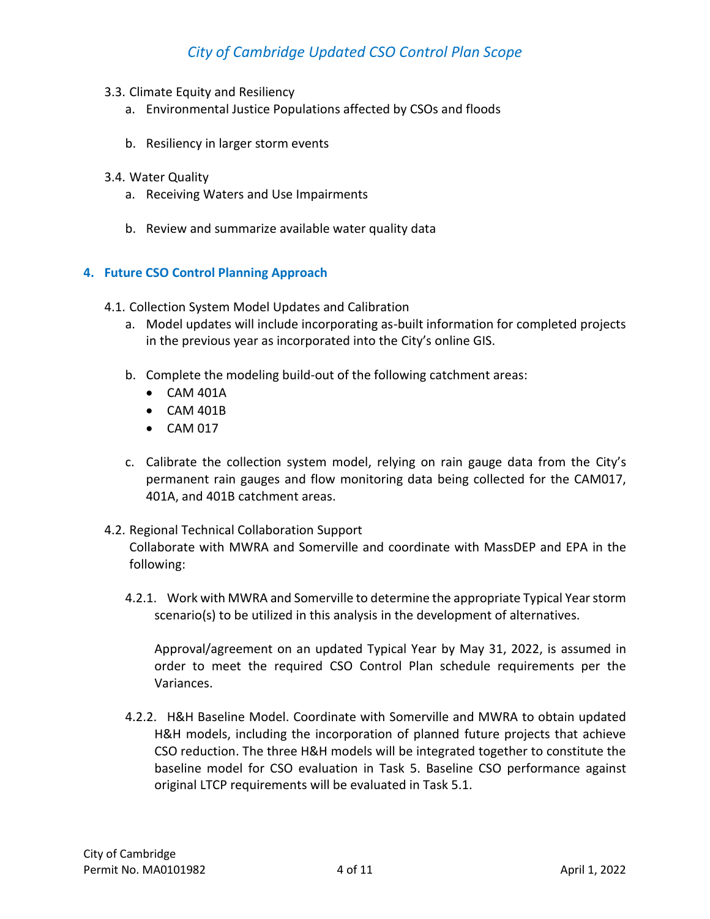- 3.3. Climate Equity and Resiliency
	- a. Environmental Justice Populations affected by CSOs and floods
	- b. Resiliency in larger storm events
- 3.4. Water Quality
	- a. Receiving Waters and Use Impairments
	- b. Review and summarize available water quality data

#### **4. Future CSO Control Planning Approach**

- 4.1. Collection System Model Updates and Calibration
	- a. Model updates will include incorporating as-built information for completed projects in the previous year as incorporated into the City's online GIS.
	- b. Complete the modeling build-out of the following catchment areas:
		- CAM 401A
		- CAM 401B
		- CAM 017
	- c. Calibrate the collection system model, relying on rain gauge data from the City's permanent rain gauges and flow monitoring data being collected for the CAM017, 401A, and 401B catchment areas.
- 4.2. Regional Technical Collaboration Support

Collaborate with MWRA and Somerville and coordinate with MassDEP and EPA in the following:

4.2.1. Work with MWRA and Somerville to determine the appropriate Typical Year storm scenario(s) to be utilized in this analysis in the development of alternatives.

Approval/agreement on an updated Typical Year by May 31, 2022, is assumed in order to meet the required CSO Control Plan schedule requirements per the Variances.

4.2.2. H&H Baseline Model. Coordinate with Somerville and MWRA to obtain updated H&H models, including the incorporation of planned future projects that achieve CSO reduction. The three H&H models will be integrated together to constitute the baseline model for CSO evaluation in Task 5. Baseline CSO performance against original LTCP requirements will be evaluated in Task 5.1.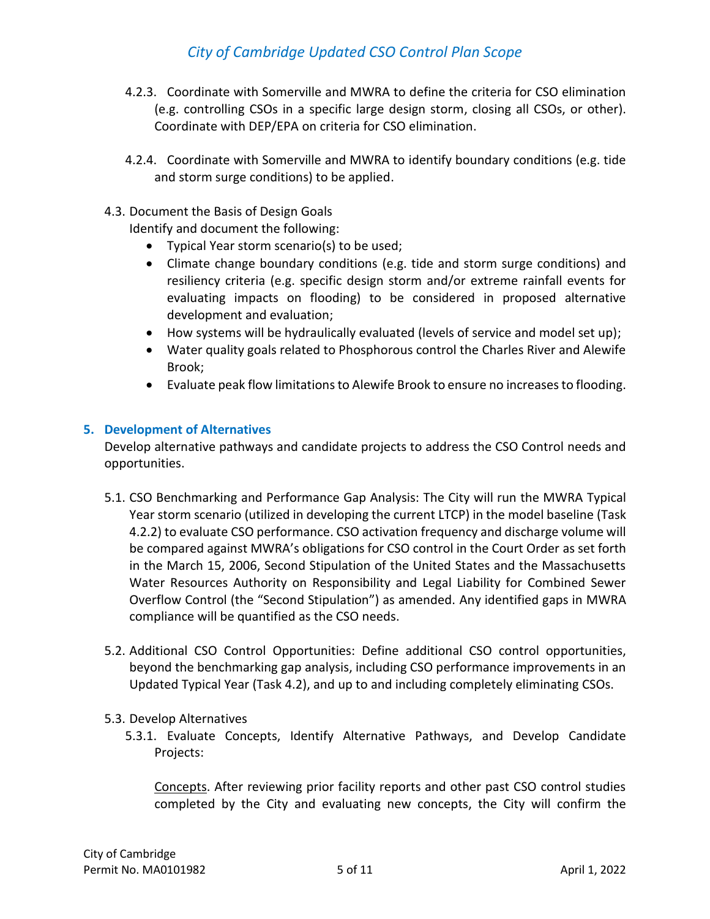- 4.2.3. Coordinate with Somerville and MWRA to define the criteria for CSO elimination (e.g. controlling CSOs in a specific large design storm, closing all CSOs, or other). Coordinate with DEP/EPA on criteria for CSO elimination.
- 4.2.4. Coordinate with Somerville and MWRA to identify boundary conditions (e.g. tide and storm surge conditions) to be applied.
- 4.3. Document the Basis of Design Goals
	- Identify and document the following:
		- Typical Year storm scenario(s) to be used;
		- Climate change boundary conditions (e.g. tide and storm surge conditions) and resiliency criteria (e.g. specific design storm and/or extreme rainfall events for evaluating impacts on flooding) to be considered in proposed alternative development and evaluation;
		- How systems will be hydraulically evaluated (levels of service and model set up);
		- Water quality goals related to Phosphorous control the Charles River and Alewife Brook;
		- Evaluate peak flow limitations to Alewife Brook to ensure no increases to flooding.

#### **5. Development of Alternatives**

Develop alternative pathways and candidate projects to address the CSO Control needs and opportunities.

- 5.1. CSO Benchmarking and Performance Gap Analysis: The City will run the MWRA Typical Year storm scenario (utilized in developing the current LTCP) in the model baseline (Task 4.2.2) to evaluate CSO performance. CSO activation frequency and discharge volume will be compared against MWRA's obligations for CSO control in the Court Order as set forth in the March 15, 2006, Second Stipulation of the United States and the Massachusetts Water Resources Authority on Responsibility and Legal Liability for Combined Sewer Overflow Control (the "Second Stipulation") as amended. Any identified gaps in MWRA compliance will be quantified as the CSO needs.
- 5.2. Additional CSO Control Opportunities: Define additional CSO control opportunities, beyond the benchmarking gap analysis, including CSO performance improvements in an Updated Typical Year (Task 4.2), and up to and including completely eliminating CSOs.
- 5.3. Develop Alternatives
	- 5.3.1. Evaluate Concepts, Identify Alternative Pathways, and Develop Candidate Projects:

Concepts. After reviewing prior facility reports and other past CSO control studies completed by the City and evaluating new concepts, the City will confirm the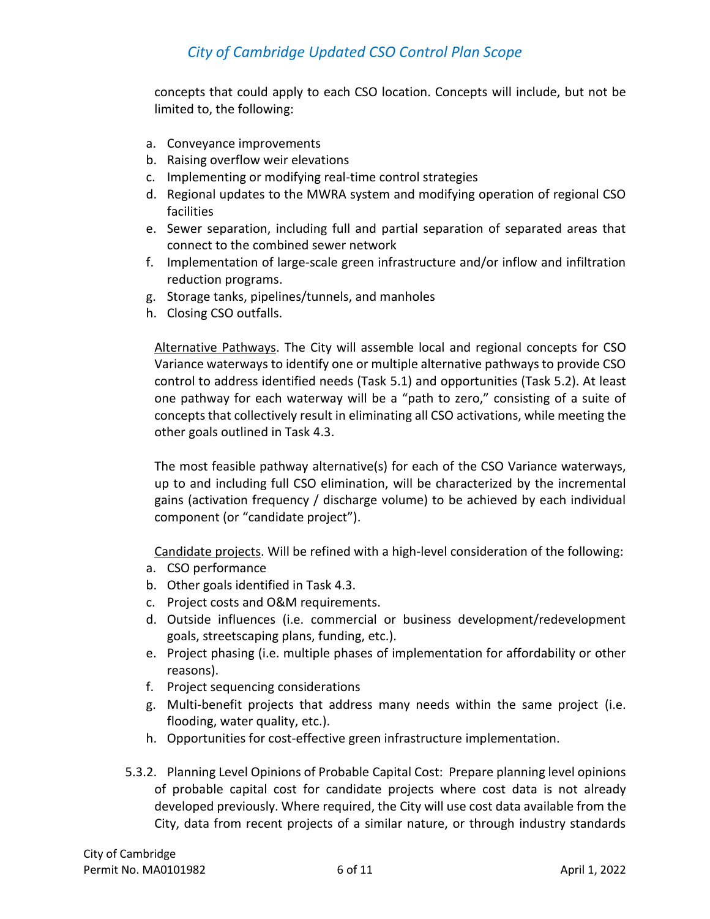concepts that could apply to each CSO location. Concepts will include, but not be limited to, the following:

- a. Conveyance improvements
- b. Raising overflow weir elevations
- c. Implementing or modifying real-time control strategies
- d. Regional updates to the MWRA system and modifying operation of regional CSO facilities
- e. Sewer separation, including full and partial separation of separated areas that connect to the combined sewer network
- f. Implementation of large-scale green infrastructure and/or inflow and infiltration reduction programs.
- g. Storage tanks, pipelines/tunnels, and manholes
- h. Closing CSO outfalls.

Alternative Pathways. The City will assemble local and regional concepts for CSO Variance waterways to identify one or multiple alternative pathways to provide CSO control to address identified needs (Task 5.1) and opportunities (Task 5.2). At least one pathway for each waterway will be a "path to zero," consisting of a suite of concepts that collectively result in eliminating all CSO activations, while meeting the other goals outlined in Task 4.3.

The most feasible pathway alternative(s) for each of the CSO Variance waterways, up to and including full CSO elimination, will be characterized by the incremental gains (activation frequency / discharge volume) to be achieved by each individual component (or "candidate project").

Candidate projects. Will be refined with a high-level consideration of the following:

- a. CSO performance
- b. Other goals identified in Task 4.3.
- c. Project costs and O&M requirements.
- d. Outside influences (i.e. commercial or business development/redevelopment goals, streetscaping plans, funding, etc.).
- e. Project phasing (i.e. multiple phases of implementation for affordability or other reasons).
- f. Project sequencing considerations
- g. Multi-benefit projects that address many needs within the same project (i.e. flooding, water quality, etc.).
- h. Opportunities for cost-effective green infrastructure implementation.
- 5.3.2. Planning Level Opinions of Probable Capital Cost: Prepare planning level opinions of probable capital cost for candidate projects where cost data is not already developed previously. Where required, the City will use cost data available from the City, data from recent projects of a similar nature, or through industry standards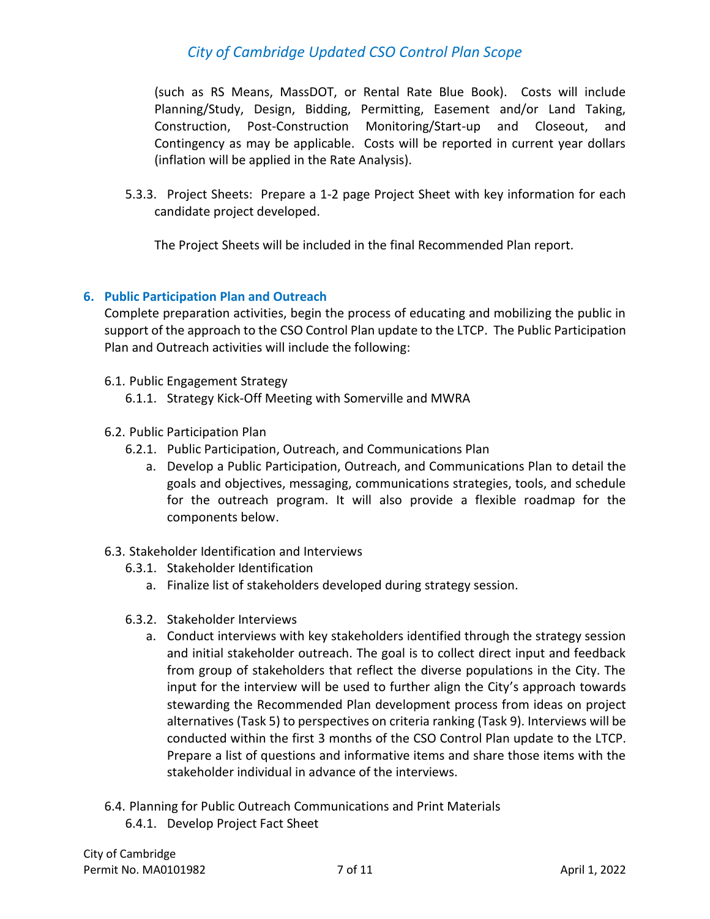(such as RS Means, MassDOT, or Rental Rate Blue Book). Costs will include Planning/Study, Design, Bidding, Permitting, Easement and/or Land Taking, Construction, Post-Construction Monitoring/Start-up and Closeout, and Contingency as may be applicable. Costs will be reported in current year dollars (inflation will be applied in the Rate Analysis).

5.3.3. Project Sheets: Prepare a 1-2 page Project Sheet with key information for each candidate project developed.

The Project Sheets will be included in the final Recommended Plan report.

### **6. Public Participation Plan and Outreach**

Complete preparation activities, begin the process of educating and mobilizing the public in support of the approach to the CSO Control Plan update to the LTCP. The Public Participation Plan and Outreach activities will include the following:

- 6.1. Public Engagement Strategy
	- 6.1.1. Strategy Kick-Off Meeting with Somerville and MWRA
- 6.2. Public Participation Plan
	- 6.2.1. Public Participation, Outreach, and Communications Plan
		- a. Develop a Public Participation, Outreach, and Communications Plan to detail the goals and objectives, messaging, communications strategies, tools, and schedule for the outreach program. It will also provide a flexible roadmap for the components below.
- 6.3. Stakeholder Identification and Interviews
	- 6.3.1. Stakeholder Identification
		- a. Finalize list of stakeholders developed during strategy session.
	- 6.3.2. Stakeholder Interviews
		- a. Conduct interviews with key stakeholders identified through the strategy session and initial stakeholder outreach. The goal is to collect direct input and feedback from group of stakeholders that reflect the diverse populations in the City. The input for the interview will be used to further align the City's approach towards stewarding the Recommended Plan development process from ideas on project alternatives (Task 5) to perspectives on criteria ranking (Task 9). Interviews will be conducted within the first 3 months of the CSO Control Plan update to the LTCP. Prepare a list of questions and informative items and share those items with the stakeholder individual in advance of the interviews.
- 6.4. Planning for Public Outreach Communications and Print Materials 6.4.1. Develop Project Fact Sheet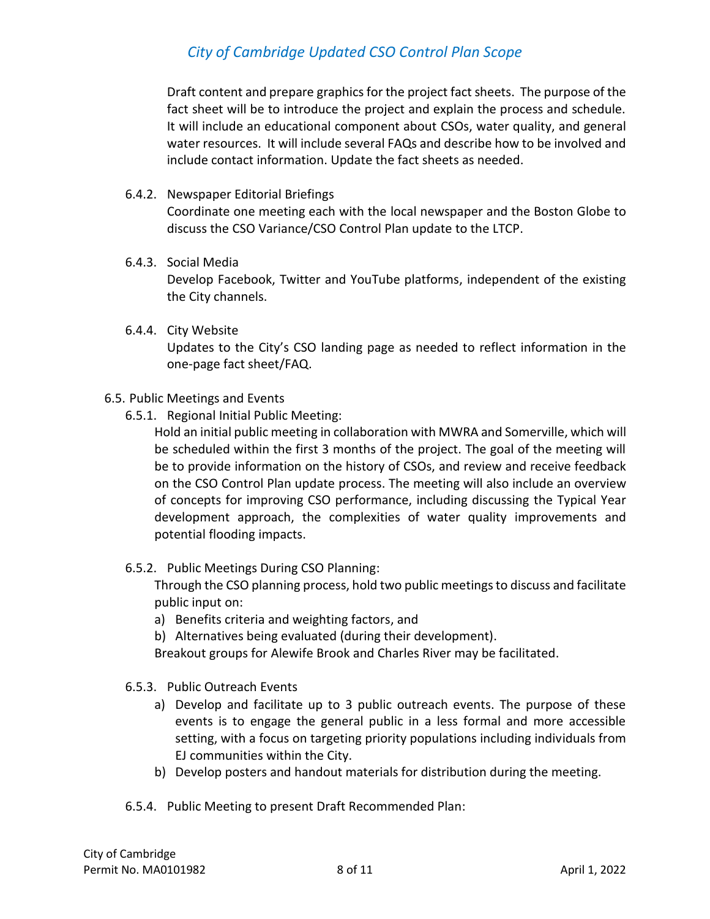Draft content and prepare graphics for the project fact sheets. The purpose of the fact sheet will be to introduce the project and explain the process and schedule. It will include an educational component about CSOs, water quality, and general water resources. It will include several FAQs and describe how to be involved and include contact information. Update the fact sheets as needed.

6.4.2. Newspaper Editorial Briefings

Coordinate one meeting each with the local newspaper and the Boston Globe to discuss the CSO Variance/CSO Control Plan update to the LTCP.

6.4.3. Social Media

Develop Facebook, Twitter and YouTube platforms, independent of the existing the City channels.

6.4.4. City Website

Updates to the City's CSO landing page as needed to reflect information in the one-page fact sheet/FAQ.

- 6.5. Public Meetings and Events
	- 6.5.1. Regional Initial Public Meeting:

Hold an initial public meeting in collaboration with MWRA and Somerville, which will be scheduled within the first 3 months of the project. The goal of the meeting will be to provide information on the history of CSOs, and review and receive feedback on the CSO Control Plan update process. The meeting will also include an overview of concepts for improving CSO performance, including discussing the Typical Year development approach, the complexities of water quality improvements and potential flooding impacts.

6.5.2. Public Meetings During CSO Planning:

Through the CSO planning process, hold two public meetings to discuss and facilitate public input on:

- a) Benefits criteria and weighting factors, and
- b) Alternatives being evaluated (during their development).

Breakout groups for Alewife Brook and Charles River may be facilitated.

- 6.5.3. Public Outreach Events
	- a) Develop and facilitate up to 3 public outreach events. The purpose of these events is to engage the general public in a less formal and more accessible setting, with a focus on targeting priority populations including individuals from EJ communities within the City.
	- b) Develop posters and handout materials for distribution during the meeting.
- 6.5.4. Public Meeting to present Draft Recommended Plan: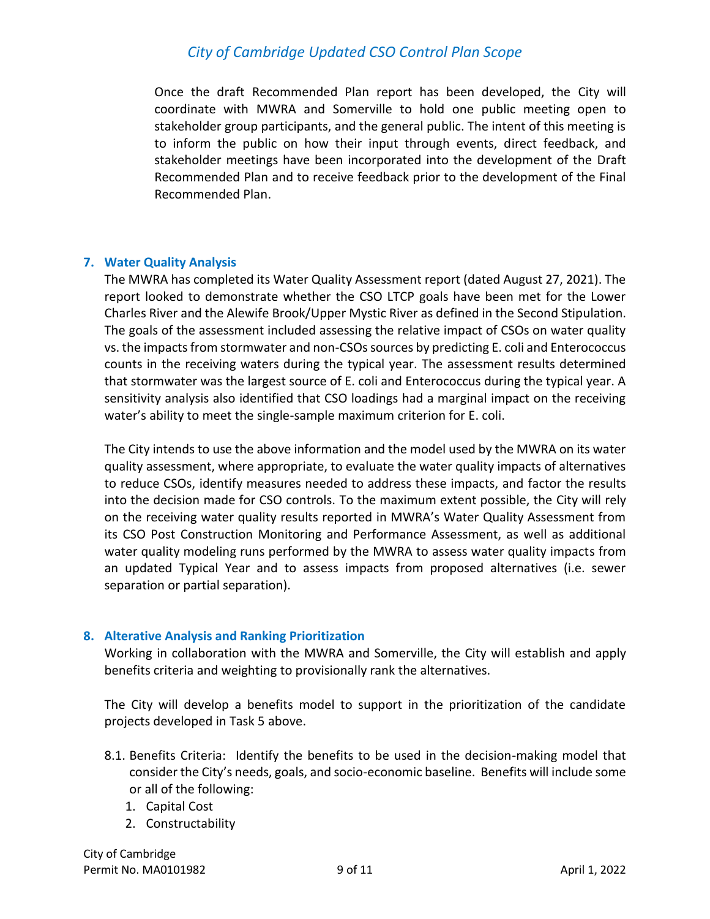Once the draft Recommended Plan report has been developed, the City will coordinate with MWRA and Somerville to hold one public meeting open to stakeholder group participants, and the general public. The intent of this meeting is to inform the public on how their input through events, direct feedback, and stakeholder meetings have been incorporated into the development of the Draft Recommended Plan and to receive feedback prior to the development of the Final Recommended Plan.

#### **7. Water Quality Analysis**

The MWRA has completed its Water Quality Assessment report (dated August 27, 2021). The report looked to demonstrate whether the CSO LTCP goals have been met for the Lower Charles River and the Alewife Brook/Upper Mystic River as defined in the Second Stipulation. The goals of the assessment included assessing the relative impact of CSOs on water quality vs. the impacts from stormwater and non-CSOs sources by predicting E. coli and Enterococcus counts in the receiving waters during the typical year. The assessment results determined that stormwater was the largest source of E. coli and Enterococcus during the typical year. A sensitivity analysis also identified that CSO loadings had a marginal impact on the receiving water's ability to meet the single-sample maximum criterion for E. coli.

The City intends to use the above information and the model used by the MWRA on its water quality assessment, where appropriate, to evaluate the water quality impacts of alternatives to reduce CSOs, identify measures needed to address these impacts, and factor the results into the decision made for CSO controls. To the maximum extent possible, the City will rely on the receiving water quality results reported in MWRA's Water Quality Assessment from its CSO Post Construction Monitoring and Performance Assessment, as well as additional water quality modeling runs performed by the MWRA to assess water quality impacts from an updated Typical Year and to assess impacts from proposed alternatives (i.e. sewer separation or partial separation).

### **8. Alterative Analysis and Ranking Prioritization**

Working in collaboration with the MWRA and Somerville, the City will establish and apply benefits criteria and weighting to provisionally rank the alternatives.

The City will develop a benefits model to support in the prioritization of the candidate projects developed in Task 5 above.

- 8.1. Benefits Criteria: Identify the benefits to be used in the decision-making model that consider the City's needs, goals, and socio-economic baseline. Benefits will include some or all of the following:
	- 1. Capital Cost
	- 2. Constructability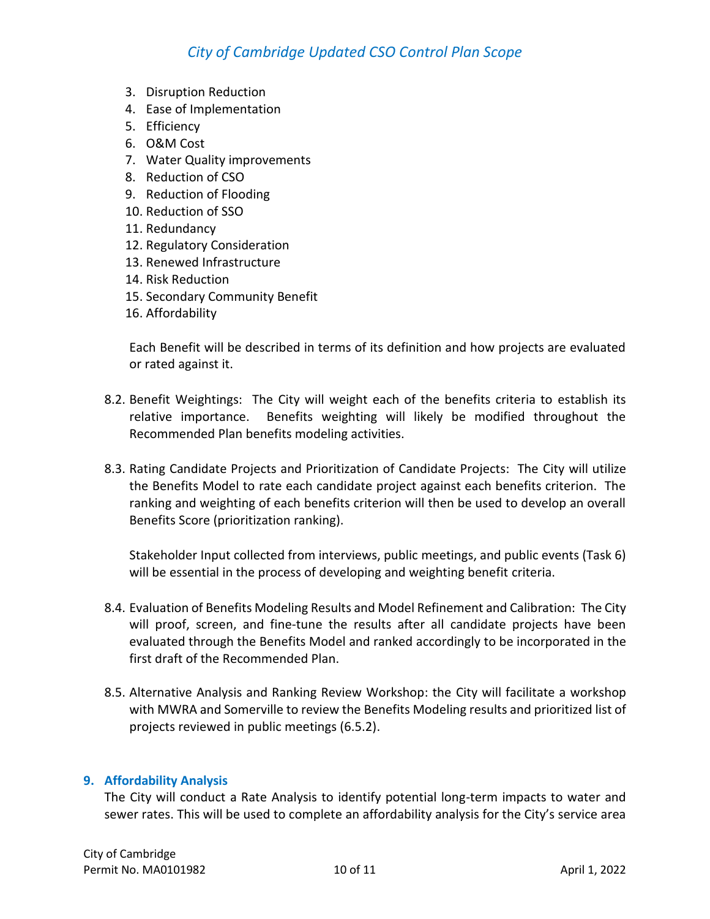- 3. Disruption Reduction
- 4. Ease of Implementation
- 5. Efficiency
- 6. O&M Cost
- 7. Water Quality improvements
- 8. Reduction of CSO
- 9. Reduction of Flooding
- 10. Reduction of SSO
- 11. Redundancy
- 12. Regulatory Consideration
- 13. Renewed Infrastructure
- 14. Risk Reduction
- 15. Secondary Community Benefit
- 16. Affordability

Each Benefit will be described in terms of its definition and how projects are evaluated or rated against it.

- 8.2. Benefit Weightings: The City will weight each of the benefits criteria to establish its relative importance. Benefits weighting will likely be modified throughout the Recommended Plan benefits modeling activities.
- 8.3. Rating Candidate Projects and Prioritization of Candidate Projects: The City will utilize the Benefits Model to rate each candidate project against each benefits criterion. The ranking and weighting of each benefits criterion will then be used to develop an overall Benefits Score (prioritization ranking).

Stakeholder Input collected from interviews, public meetings, and public events (Task 6) will be essential in the process of developing and weighting benefit criteria.

- 8.4. Evaluation of Benefits Modeling Results and Model Refinement and Calibration: The City will proof, screen, and fine-tune the results after all candidate projects have been evaluated through the Benefits Model and ranked accordingly to be incorporated in the first draft of the Recommended Plan.
- 8.5. Alternative Analysis and Ranking Review Workshop: the City will facilitate a workshop with MWRA and Somerville to review the Benefits Modeling results and prioritized list of projects reviewed in public meetings (6.5.2).

### **9. Affordability Analysis**

The City will conduct a Rate Analysis to identify potential long-term impacts to water and sewer rates. This will be used to complete an affordability analysis for the City's service area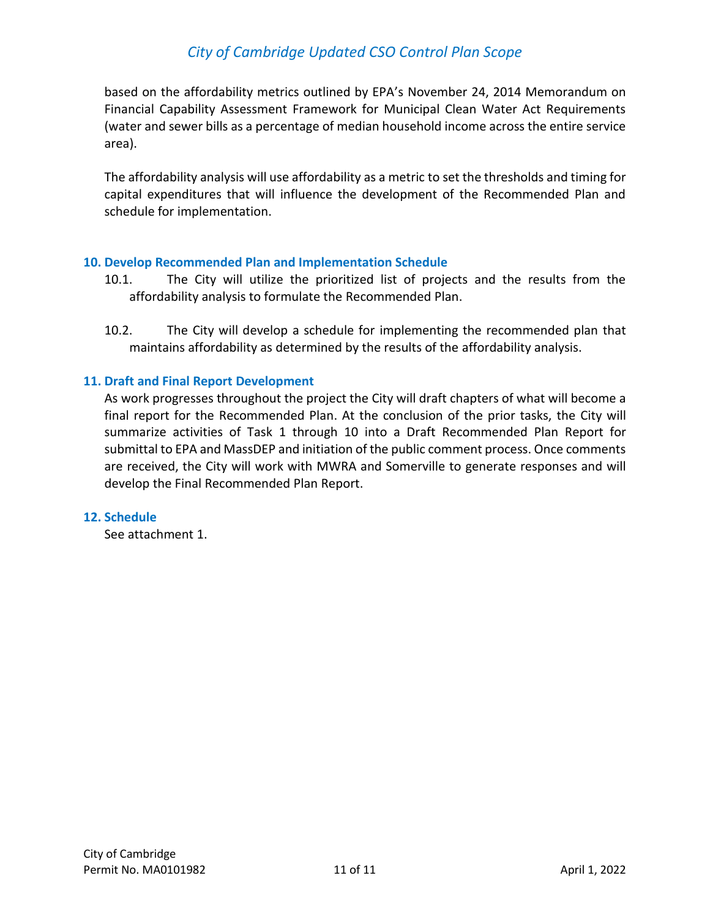based on the affordability metrics outlined by EPA's November 24, 2014 Memorandum on Financial Capability Assessment Framework for Municipal Clean Water Act Requirements (water and sewer bills as a percentage of median household income across the entire service area).

The affordability analysis will use affordability as a metric to set the thresholds and timing for capital expenditures that will influence the development of the Recommended Plan and schedule for implementation.

#### **10. Develop Recommended Plan and Implementation Schedule**

- 10.1. The City will utilize the prioritized list of projects and the results from the affordability analysis to formulate the Recommended Plan.
- 10.2. The City will develop a schedule for implementing the recommended plan that maintains affordability as determined by the results of the affordability analysis.

### **11. Draft and Final Report Development**

As work progresses throughout the project the City will draft chapters of what will become a final report for the Recommended Plan. At the conclusion of the prior tasks, the City will summarize activities of Task 1 through 10 into a Draft Recommended Plan Report for submittal to EPA and MassDEP and initiation of the public comment process. Once comments are received, the City will work with MWRA and Somerville to generate responses and will develop the Final Recommended Plan Report.

#### **12. Schedule**

See attachment 1.